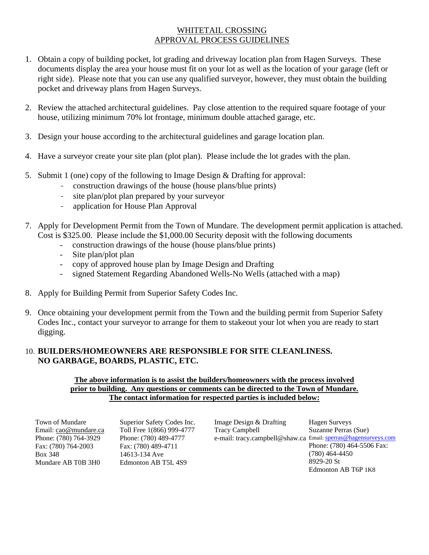## WHITETAIL CROSSING APPROVAL PROCESS GUIDELINES

- 1. Obtain a copy of building pocket, lot grading and driveway location plan from Hagen Surveys. These documents display the area your house must fit on your lot as well as the location of your garage (left or right side). Please note that you can use any qualified surveyor, however, they must obtain the building pocket and driveway plans from Hagen Surveys.
- 2. Review the attached architectural guidelines. Pay close attention to the required square footage of your house, utilizing minimum 70% lot frontage, minimum double attached garage, etc.
- 3. Design your house according to the architectural guidelines and garage location plan.
- 4. Have a surveyor create your site plan (plot plan). Please include the lot grades with the plan.
- 5. Submit 1 (one) copy of the following to Image Design & Drafting for approval:
	- construction drawings of the house (house plans/blue prints)
	- site plan/plot plan prepared by your surveyor
	- application for House Plan Approval
- 7. Apply for Development Permit from the Town of Mundare. The development permit application is attached. Cost is \$325.00. Please include the \$1,000.00 Security deposit with the following documents
	- construction drawings of the house (house plans/blue prints)
	- Site plan/plot plan
	- copy of approved house plan by Image Design and Drafting
	- signed Statement Regarding Abandoned Wells-No Wells (attached with a map)
- 8. Apply for Building Permit from Superior Safety Codes Inc.
- 9. Once obtaining your development permit from the Town and the building permit from Superior Safety Codes Inc., contact your surveyor to arrange for them to stakeout your lot when you are ready to start digging.

## 10. **BUILDERS/HOMEOWNERS ARE RESPONSIBLE FOR SITE CLEANLINESS. NO GARBAGE, BOARDS, PLASTIC, ETC.**

### **The above information is to assist the builders/homeowners with the process involved prior to building. Any questions or comments can be directed to the Town of Mundare. The contact information for respected parties is included below:**

Town of Mundare Email: cao@mundare.ca Phone: (780) 764-3929 Fax: (780) 764-2003 Box 348 Mundare AB T0B 3H0

Superior Safety Codes Inc. Toll Free 1(866) 999-4777 Phone: (780) 489-4777 Fax: (780) 489-4711 14613-134 Ave Edmonton AB T5L 4S9

Image Design & Drafting Tracy Campbell e-mail: tracy.campbell@shaw.ca Email: sperras@hagensurveys.com Hagen Surveys Suzanne Perras (Sue) Phone: (780) 464-5506 Fax: (780) 464-4450 8929-20 St Edmonton AB T6P 1K8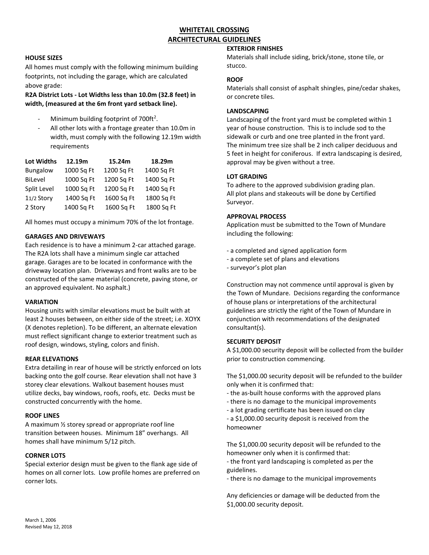## **WHITETAIL CROSSING ARCHITECTURAL GUIDELINES**

### **HOUSE SIZES**

All homes must comply with the following minimum building footprints, not including the garage, which are calculated above grade:

### **R2A District Lots - Lot Widths less than 10.0m (32.8 feet) in width, (measured at the 6m front yard setback line).**

- Minimum building footprint of 700ft<sup>2</sup>.
- All other lots with a frontage greater than 10.0m in width, must comply with the following 12.19m width requirements

| <b>Lot Widths</b> | 12.19m     | 15.24m     | 18.29m     |
|-------------------|------------|------------|------------|
| Bungalow          | 1000 Sq Ft | 1200 Sq Ft | 1400 Sq Ft |
| BiLevel           | 1000 Sq Ft | 1200 Sq Ft | 1400 Sq Ft |
| Split Level       | 1000 Sq Ft | 1200 Sq Ft | 1400 Sq Ft |
| 11/2 Story        | 1400 Sq Ft | 1600 Sq Ft | 1800 Sq Ft |
| 2 Story           | 1400 Sq Ft | 1600 Sq Ft | 1800 Sq Ft |

All homes must occupy a minimum 70% of the lot frontage.

#### **GARAGES AND DRIVEWAYS**

Each residence is to have a minimum 2-car attached garage. The R2A lots shall have a minimum single car attached garage. Garages are to be located in conformance with the driveway location plan. Driveways and front walks are to be constructed of the same material (concrete, paving stone, or an approved equivalent. No asphalt.)

#### **VARIATION**

Housing units with similar elevations must be built with at least 2 houses between, on either side of the street; i.e. XOYX (X denotes repletion). To be different, an alternate elevation must reflect significant change to exterior treatment such as roof design, windows, styling, colors and finish.

#### **REAR ELEVATIONS**

Extra detailing in rear of house will be strictly enforced on lots backing onto the golf course. Rear elevation shall not have 3 storey clear elevations. Walkout basement houses must utilize decks, bay windows, roofs, roofs, etc. Decks must be constructed concurrently with the home.

### **ROOF LINES**

A maximum ½ storey spread or appropriate roof line transition between houses. Minimum 18" overhangs. All homes shall have minimum 5/12 pitch.

### **CORNER LOTS**

Special exterior design must be given to the flank age side of homes on all corner lots. Low profile homes are preferred on corner lots.

### **EXTERIOR FINISHES**

Materials shall include siding, brick/stone, stone tile, or stucco.

### **ROOF**

Materials shall consist of asphalt shingles, pine/cedar shakes, or concrete tiles.

#### **LANDSCAPING**

Landscaping of the front yard must be completed within 1 year of house construction. This is to include sod to the sidewalk or curb and one tree planted in the front yard. The minimum tree size shall be 2 inch caliper deciduous and 5 feet in height for coniferous. If extra landscaping is desired, approval may be given without a tree.

#### **LOT GRADING**

To adhere to the approved subdivision grading plan. All plot plans and stakeouts will be done by Certified Surveyor.

### **APPROVAL PROCESS**

Application must be submitted to the Town of Mundare including the following:

- a completed and signed application form
- a complete set of plans and elevations
- surveyor's plot plan

Construction may not commence until approval is given by the Town of Mundare. Decisions regarding the conformance of house plans or interpretations of the architectural guidelines are strictly the right of the Town of Mundare in conjunction with recommendations of the designated consultant(s).

### **SECURITY DEPOSIT**

A \$1,000.00 security deposit will be collected from the builder prior to construction commencing.

The \$1,000.00 security deposit will be refunded to the builder only when it is confirmed that:

- the as-built house conforms with the approved plans
- there is no damage to the municipal improvements
- a lot grading certificate has been issued on clay

- a \$1,000.00 security deposit is received from the homeowner

The \$1,000.00 security deposit will be refunded to the homeowner only when it is confirmed that:

- the front yard landscaping is completed as per the guidelines.

- there is no damage to the municipal improvements

Any deficiencies or damage will be deducted from the \$1,000.00 security deposit.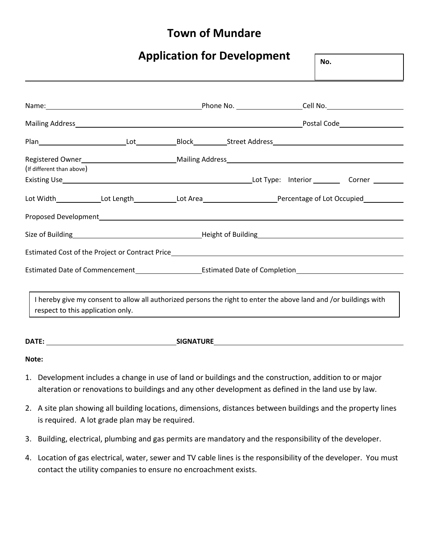# **Town of Mundare**

|                                   |  | <b>Application for Development</b>                                                                                                                                                                                                   | No. |                                                                                                                                                                                                                                |
|-----------------------------------|--|--------------------------------------------------------------------------------------------------------------------------------------------------------------------------------------------------------------------------------------|-----|--------------------------------------------------------------------------------------------------------------------------------------------------------------------------------------------------------------------------------|
|                                   |  |                                                                                                                                                                                                                                      |     | Name: 1980 1991 10: 2010 10: 2010 10: 2010 10: 2010 10: 2010 10: 2010 10: 2010 10: 2010 10: 2010 10: 2010 10: 2010 10: 2010 10: 2010 10: 2010 10: 2010 10: 2010 10: 2010 10: 2010 10: 2010 10: 2010 10: 2010 10: 2010 10: 2010 |
|                                   |  |                                                                                                                                                                                                                                      |     |                                                                                                                                                                                                                                |
|                                   |  |                                                                                                                                                                                                                                      |     |                                                                                                                                                                                                                                |
| (If different than above)         |  |                                                                                                                                                                                                                                      |     |                                                                                                                                                                                                                                |
|                                   |  |                                                                                                                                                                                                                                      |     | Lot Width_______________Lot Length_____________Lot Area_________________________Percentage of Lot Occupied___________                                                                                                          |
|                                   |  |                                                                                                                                                                                                                                      |     |                                                                                                                                                                                                                                |
|                                   |  | Estimated Cost of the Project or Contract Price <b>contract and Contract Price contract in the Contract Price contract Price contract Price contract Price contract Price contract Price contract Price contract Price contract </b> |     |                                                                                                                                                                                                                                |
|                                   |  |                                                                                                                                                                                                                                      |     |                                                                                                                                                                                                                                |
| respect to this application only. |  | I hereby give my consent to allow all authorized persons the right to enter the above land and /or buildings with<br>,我们也不能在这里的时候,我们也不能在这里的时候,我们也不能会在这里的时候,我们也不能会在这里的时候,我们也不能会在这里的时候,我们也不能会在这里的时候,我们也                                |     |                                                                                                                                                                                                                                |
|                                   |  |                                                                                                                                                                                                                                      |     |                                                                                                                                                                                                                                |

**Note:**

- 1. Development includes a change in use of land or buildings and the construction, addition to or major alteration or renovations to buildings and any other development as defined in the land use by law.
- 2. A site plan showing all building locations, dimensions, distances between buildings and the property lines is required. A lot grade plan may be required.
- 3. Building, electrical, plumbing and gas permits are mandatory and the responsibility of the developer.
- 4. Location of gas electrical, water, sewer and TV cable lines is the responsibility of the developer. You must contact the utility companies to ensure no encroachment exists.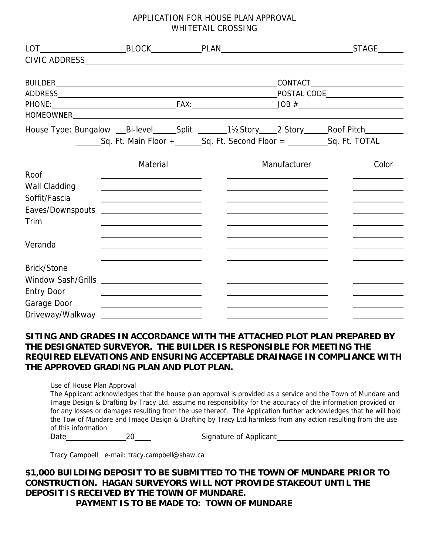## APPLICATION FOR HOUSE PLAN APPROVAL WHITETAIL CROSSING

|                           |                                                                                                                      |              | House Type: Bungalow __Bi-level _____Split _______1½Story ____2 Story _____Roof Pitch |
|---------------------------|----------------------------------------------------------------------------------------------------------------------|--------------|---------------------------------------------------------------------------------------|
|                           |                                                                                                                      |              |                                                                                       |
|                           | Material                                                                                                             | Manufacturer | Color                                                                                 |
| Roof                      | <u> 1980 - Jan Stein Stein Stein Stein Stein Stein Stein Stein Stein Stein Stein Stein Stein Stein Stein Stein S</u> |              |                                                                                       |
| Wall Cladding             | <u> 1989 - Johann Stein, mars et al. (</u>                                                                           |              |                                                                                       |
| Soffit/Fascia             |                                                                                                                      |              |                                                                                       |
| Eaves/Downspouts          | <u> 1980 - Andrea Aonaich an Chomhair Machtair an t-</u>                                                             |              |                                                                                       |
| Trim                      |                                                                                                                      |              |                                                                                       |
| Veranda                   |                                                                                                                      |              |                                                                                       |
| <b>Brick/Stone</b>        | <u> 1989 - Johann Stoff, amerikansk politiker (d. 1989)</u>                                                          |              |                                                                                       |
| <b>Window Sash/Grills</b> |                                                                                                                      |              |                                                                                       |
| <b>Entry Door</b>         |                                                                                                                      |              |                                                                                       |
| Garage Door               |                                                                                                                      |              |                                                                                       |
| Driveway/Walkway          |                                                                                                                      |              |                                                                                       |

## **SITING AND GRADES IN ACCORDANCE WITH THE ATTACHED PLOT PLAN PREPARED BY THE DESIGNATED SURVEYOR. THE BUILDER IS RESPONSIBLE FOR MEETING THE REQUIRED ELEVATIONS AND ENSURING ACCEPTABLE DRAINAGE IN COMPLIANCE WITH THE APPROVED GRADING PLAN AND PLOT PLAN.**

Use of House Plan Approval

The Applicant acknowledges that the house plan approval is provided as a service and the Town of Mundare and Image Design & Drafting by Tracy Ltd. assume no responsibility for the accuracy of the information provided or for any losses or damages resulting from the use thereof. The Application further acknowledges that he will hold the Tow of Mundare and Image Design & Drafting by Tracy Ltd harmless from any action resulting from the use of this information.

Date 20 20 Signature of Applicant

Tracy Campbell e-mail: tracy.campbell@shaw.ca

**\$1,000 BUILDING DEPOSIT TO BE SUBMITTED TO THE TOWN OF MUNDARE PRIOR TO CONSTRUCTION. HAGAN SURVEYORS WILL NOT PROVIDE STAKEOUT UNTIL THE DEPOSIT IS RECEIVED BY THE TOWN OF MUNDARE. PAYMENT IS TO BE MADE TO: TOWN OF MUNDARE**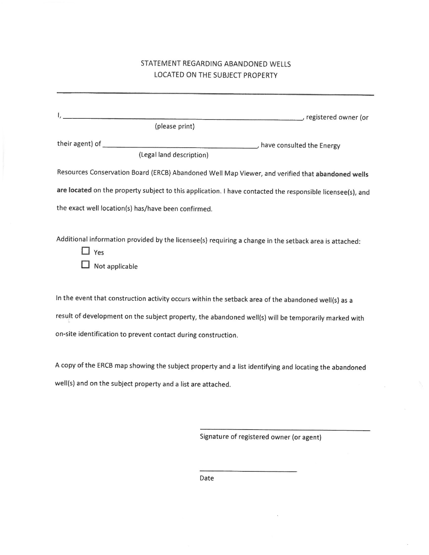## STATEMENT REGARDING ABANDONED WELLS LOCATED ON THE SUBJECT PROPERTY

| ______ registered owner (or<br>(please print)                                                                                          |
|----------------------------------------------------------------------------------------------------------------------------------------|
| their agent) of<br>have consulted the Energy<br>(Legal land description)                                                               |
| Resources Conservation Board (ERCB) Abandoned Well Map Viewer, and verified that abandoned wells                                       |
| are located on the property subject to this application. I have contacted the responsible licensee(s), and                             |
| the exact well location(s) has/have been confirmed.                                                                                    |
| Additional information provided by the licensee(s) requiring a change in the setback area is attached:<br>$\Box$ Yes<br>Not applicable |
| In the event that construction activity occurs within the setback area of the abandoned well(s) as a                                   |
| result of development on the subject property, the abandoned well(s) will be temporarily marked with                                   |
| on-site identification to prevent contact during construction.                                                                         |
|                                                                                                                                        |

A copy of the ERCB map showing the subject property and a list identifying and locating the abandoned well(s) and on the subject property and a list are attached.

Signature of registered owner (or agent)

Date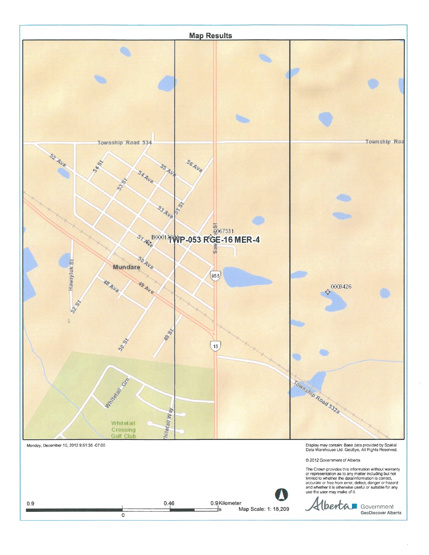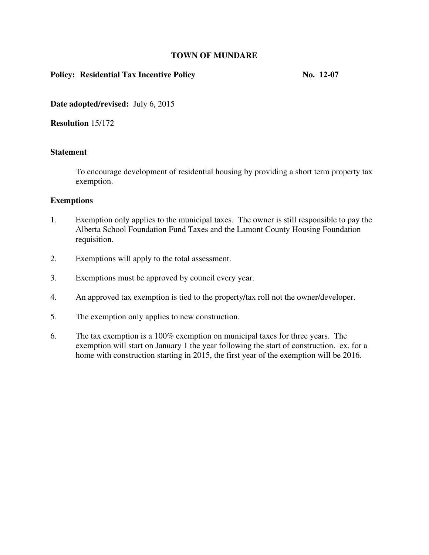### **TOWN OF MUNDARE**

## Policy: Residential Tax Incentive Policy **No. 12-07** No. 12-07

**Date adopted/revised:** July 6, 2015

**Resolution** 15/172

## **Statement**

To encourage development of residential housing by providing a short term property tax exemption.

### **Exemptions**

- 1. Exemption only applies to the municipal taxes. The owner is still responsible to pay the Alberta School Foundation Fund Taxes and the Lamont County Housing Foundation requisition.
- 2. Exemptions will apply to the total assessment.
- 3. Exemptions must be approved by council every year.
- 4. An approved tax exemption is tied to the property/tax roll not the owner/developer.
- 5. The exemption only applies to new construction.
- 6. The tax exemption is a 100% exemption on municipal taxes for three years. The exemption will start on January 1 the year following the start of construction. ex. for a home with construction starting in 2015, the first year of the exemption will be 2016.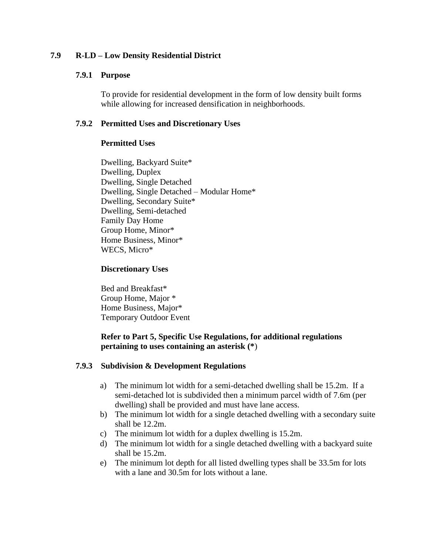## **7.9 R-LD – Low Density Residential District**

### **7.9.1 Purpose**

To provide for residential development in the form of low density built forms while allowing for increased densification in neighborhoods.

## **7.9.2 Permitted Uses and Discretionary Uses**

## **Permitted Uses**

Dwelling, Backyard Suite\* Dwelling, Duplex Dwelling, Single Detached Dwelling, Single Detached – Modular Home\* Dwelling, Secondary Suite\* Dwelling, Semi-detached Family Day Home Group Home, Minor\* Home Business, Minor\* WECS, Micro\*

## **Discretionary Uses**

Bed and Breakfast\* Group Home, Major \* Home Business, Major\* Temporary Outdoor Event

## **Refer to Part 5, Specific Use Regulations, for additional regulations pertaining to uses containing an asterisk (\***)

## **7.9.3 Subdivision & Development Regulations**

- a) The minimum lot width for a semi-detached dwelling shall be 15.2m. If a semi-detached lot is subdivided then a minimum parcel width of 7.6m (per dwelling) shall be provided and must have lane access.
- b) The minimum lot width for a single detached dwelling with a secondary suite shall be 12.2m.
- c) The minimum lot width for a duplex dwelling is 15.2m.
- d) The minimum lot width for a single detached dwelling with a backyard suite shall be 15.2m.
- e) The minimum lot depth for all listed dwelling types shall be 33.5m for lots with a lane and 30.5m for lots without a lane.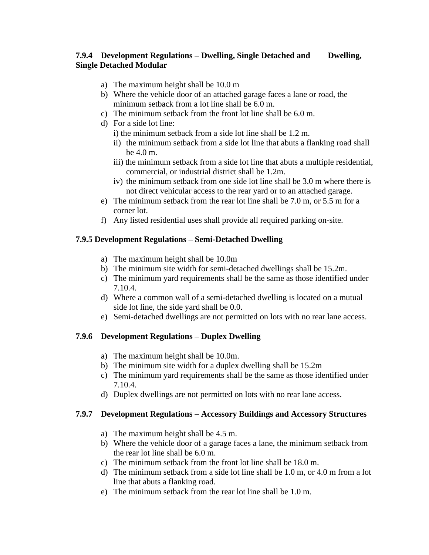## **7.9.4 Development Regulations – Dwelling, Single Detached and Dwelling, Single Detached Modular**

- a) The maximum height shall be 10.0 m
- b) Where the vehicle door of an attached garage faces a lane or road, the minimum setback from a lot line shall be 6.0 m.
- c) The minimum setback from the front lot line shall be 6.0 m.
- d) For a side lot line:
	- i) the minimum setback from a side lot line shall be 1.2 m.
	- ii) the minimum setback from a side lot line that abuts a flanking road shall be 4.0 m.
	- iii) the minimum setback from a side lot line that abuts a multiple residential, commercial, or industrial district shall be 1.2m.
	- iv) the minimum setback from one side lot line shall be 3.0 m where there is not direct vehicular access to the rear yard or to an attached garage.
- e) The minimum setback from the rear lot line shall be 7.0 m, or 5.5 m for a corner lot.
- f) Any listed residential uses shall provide all required parking on-site.

## **7.9.5 Development Regulations – Semi-Detached Dwelling**

- a) The maximum height shall be 10.0m
- b) The minimum site width for semi-detached dwellings shall be 15.2m.
- c) The minimum yard requirements shall be the same as those identified under 7.10.4.
- d) Where a common wall of a semi-detached dwelling is located on a mutual side lot line, the side yard shall be 0.0.
- e) Semi-detached dwellings are not permitted on lots with no rear lane access.

## **7.9.6 Development Regulations – Duplex Dwelling**

- a) The maximum height shall be 10.0m.
- b) The minimum site width for a duplex dwelling shall be 15.2m
- c) The minimum yard requirements shall be the same as those identified under 7.10.4.
- d) Duplex dwellings are not permitted on lots with no rear lane access.

## **7.9.7 Development Regulations – Accessory Buildings and Accessory Structures**

- a) The maximum height shall be 4.5 m.
- b) Where the vehicle door of a garage faces a lane, the minimum setback from the rear lot line shall be 6.0 m.
- c) The minimum setback from the front lot line shall be 18.0 m.
- d) The minimum setback from a side lot line shall be 1.0 m, or 4.0 m from a lot line that abuts a flanking road.
- e) The minimum setback from the rear lot line shall be 1.0 m.